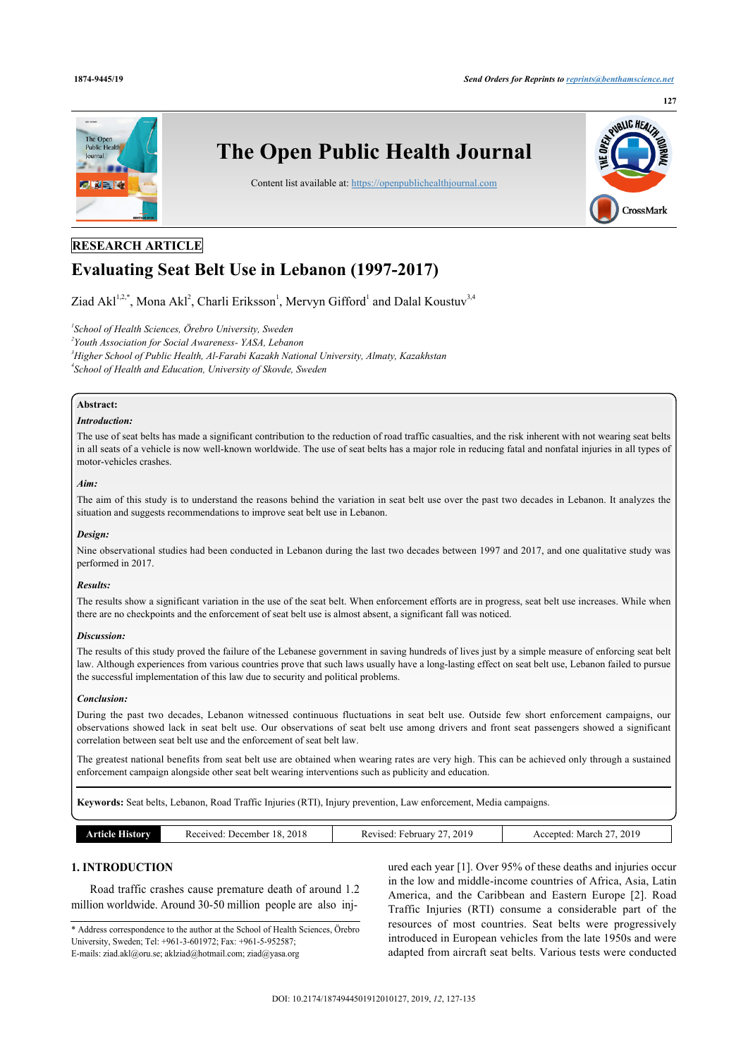

# **RESEARCH ARTICLE**

# **Evaluating Seat Belt Use in Lebanon (1997-2017)**

Ziad Akl<sup>[1](#page-0-0),[2](#page-0-1),[\\*](#page-0-2)</sup>, Mona Akl<sup>2</sup>, Charli Eriksson<sup>1</sup>, Mervyn Gifford<sup>1</sup> and Dalal Koustuv<sup>[3](#page-0-3),[4](#page-0-4)</sup>

<span id="page-0-0"></span>*1 School of Health Sciences, Örebro University, Sweden*

<span id="page-0-1"></span>*2 Youth Association for Social Awareness- YASA, Lebanon*

<span id="page-0-4"></span><span id="page-0-3"></span>*<sup>3</sup>Higher School of Public Health, Al-Farabi Kazakh National University, Almaty, Kazakhstan*

*4 School of Health and Education, University of Skovde, Sweden*

# **Abstract:**

# *Introduction:*

The use of seat belts has made a significant contribution to the reduction of road traffic casualties, and the risk inherent with not wearing seat belts in all seats of a vehicle is now well-known worldwide. The use of seat belts has a major role in reducing fatal and nonfatal injuries in all types of motor-vehicles crashes.

#### *Aim:*

The aim of this study is to understand the reasons behind the variation in seat belt use over the past two decades in Lebanon. It analyzes the situation and suggests recommendations to improve seat belt use in Lebanon.

#### *Design:*

Nine observational studies had been conducted in Lebanon during the last two decades between 1997 and 2017, and one qualitative study was performed in 2017.

#### *Results:*

The results show a significant variation in the use of the seat belt. When enforcement efforts are in progress, seat belt use increases. While when there are no checkpoints and the enforcement of seat belt use is almost absent, a significant fall was noticed.

#### *Discussion:*

The results of this study proved the failure of the Lebanese government in saving hundreds of lives just by a simple measure of enforcing seat belt law. Although experiences from various countries prove that such laws usually have a long-lasting effect on seat belt use, Lebanon failed to pursue the successful implementation of this law due to security and political problems.

#### *Conclusion:*

During the past two decades, Lebanon witnessed continuous fluctuations in seat belt use. Outside few short enforcement campaigns, our observations showed lack in seat belt use. Our observations of seat belt use among drivers and front seat passengers showed a significant correlation between seat belt use and the enforcement of seat belt law.

The greatest national benefits from seat belt use are obtained when wearing rates are very high. This can be achieved only through a sustained enforcement campaign alongside other seat belt wearing interventions such as publicity and education.

**Keywords:** Seat belts, Lebanon, Road Traffic Injuries (RTI), Injury prevention, Law enforcement, Media campaigns.

|  | amr- | 2018<br>.<br>. Jacar<br>.-mher<br>Received<br>.<br>. | 2019<br>rebruar -<br>ہ مد<br>кеу | 2019<br><b>March</b><br>90.<br>$\sim$ |
|--|------|------------------------------------------------------|----------------------------------|---------------------------------------|
|--|------|------------------------------------------------------|----------------------------------|---------------------------------------|

# **1. INTRODUCTION**

Road traffic crashes cause premature death of around 1.2 million worldwide. Around 30-50 million people are also inj-

<span id="page-0-2"></span>\* Address correspondence to the author at the School of Health Sciences, Örebro University, Sweden; Tel: +961-3-601972; Fax: +961-5-952587; E-mails: [ziad.akl@oru.se](mailto:ziad.akl@oru.se); [aklziad@hotmail.com](mailto:aklziad@hotmail.com); [ziad@yasa.org](mailto:ziad@yasa.org)

ured each year [[1](#page-7-0)]. Over 95% of these deaths and injuries occur in the low and middle-income countries of Africa, Asia, Latin America, and the Caribbean and Eastern Europe [\[2\]](#page-8-0). Road Traffic Injuries (RTI) consume a considerable part of the resources of most countries. Seat belts were progressively introduced in European vehicles from the late 1950s and were adapted from aircraft seat belts. Various tests were conducted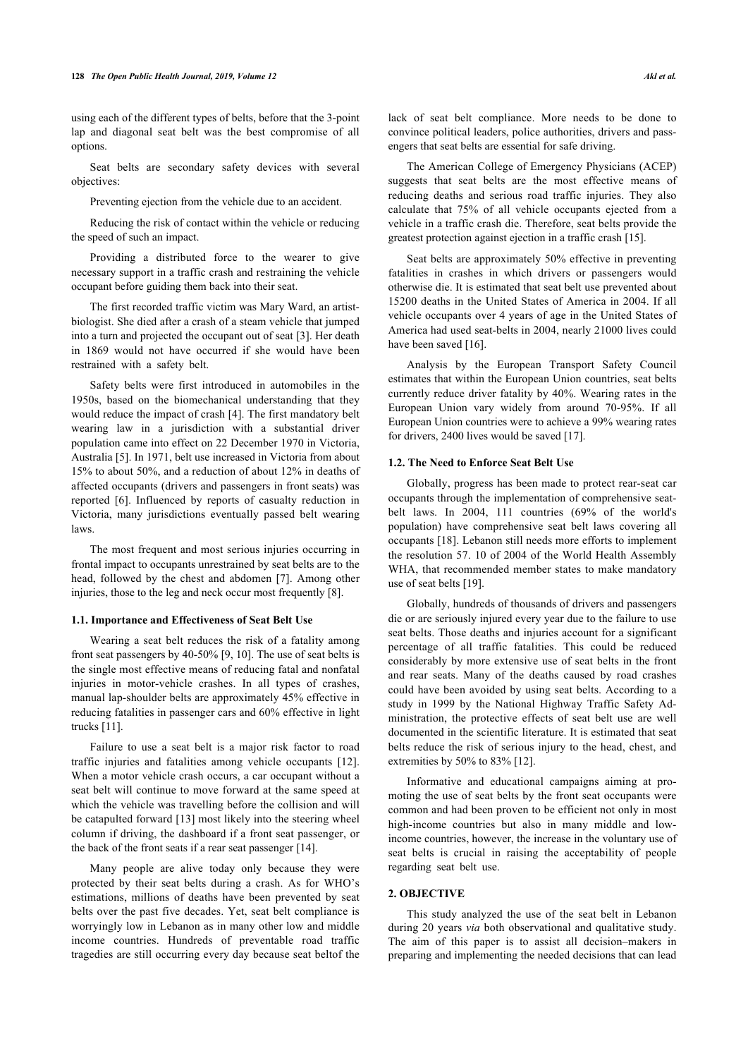using each of the different types of belts, before that the 3-point lap and diagonal seat belt was the best compromise of all options.

Seat belts are secondary safety devices with several objectives:

Preventing ejection from the vehicle due to an accident.

Reducing the risk of contact within the vehicle or reducing the speed of such an impact.

Providing a distributed force to the wearer to give necessary support in a traffic crash and restraining the vehicle occupant before guiding them back into their seat.

The first recorded traffic victim was Mary Ward, an artistbiologist. She died after a crash of a steam vehicle that jumped into a turn and projected the occupant out of seat [[3](#page-8-1)]. Her death in 1869 would not have occurred if she would have been restrained with a safety belt.

Safety belts were first introduced in automobiles in the 1950s, based on the biomechanical understanding that they would reduce the impact of crash [[4](#page-8-2)]. The first mandatory belt wearing law in a jurisdiction with a substantial driver population came into effect on 22 December 1970 in Victoria, Australia [[5](#page-8-3)]. In 1971, belt use increased in Victoria from about 15% to about 50%, and a reduction of about 12% in deaths of affected occupants (drivers and passengers in front seats) was reported [\[6](#page-8-4)]. Influenced by reports of casualty reduction in Victoria, many jurisdictions eventually passed belt wearing laws.

The most frequent and most serious injuries occurring in frontal impact to occupants unrestrained by seat belts are to the head, followed by the chest and abdomen [[7\]](#page-8-5). Among other injuries, those to the leg and neck occur most frequently [[8](#page-8-6)].

#### **1.1. Importance and Effectiveness of Seat Belt Use**

Wearing a seat belt reduces the risk of a fatality among front seat passengers by 40-50% [[9](#page-8-7), [10\]](#page-8-8). The use of seat belts is the single most effective means of reducing fatal and nonfatal injuries in motor-vehicle crashes. In all types of crashes, manual lap-shoulder belts are approximately 45% effective in reducing fatalities in passenger cars and 60% effective in light trucks [[11\]](#page-8-9).

Failure to use a seat belt is a major risk factor to road traffic injuries and fatalities among vehicle occupants[[12\]](#page-8-10). When a motor vehicle crash occurs, a car occupant without a seat belt will continue to move forward at the same speed at which the vehicle was travelling before the collision and will be catapulted forward [\[13](#page-8-11)] most likely into the steering wheel column if driving, the dashboard if a front seat passenger, or the back of the front seats if a rear seat passenger [[14\]](#page-8-12).

Many people are alive today only because they were protected by their seat belts during a crash. As for WHO's estimations, millions of deaths have been prevented by seat belts over the past five decades. Yet, seat belt compliance is worryingly low in Lebanon as in many other low and middle income countries. Hundreds of preventable road traffic tragedies are still occurring every day because seat beltof the

lack of seat belt compliance. More needs to be done to convince political leaders, police authorities, drivers and passengers that seat belts are essential for safe driving.

The American College of Emergency Physicians (ACEP) suggests that seat belts are the most effective means of reducing deaths and serious road traffic injuries. They also calculate that 75% of all vehicle occupants ejected from a vehicle in a traffic crash die. Therefore, seat belts provide the greatest protection against ejection in a traffic crash [\[15](#page-8-13)].

Seat belts are approximately 50% effective in preventing fatalities in crashes in which drivers or passengers would otherwise die. It is estimated that seat belt use prevented about 15200 deaths in the United States of America in 2004. If all vehicle occupants over 4 years of age in the United States of America had used seat-belts in 2004, nearly 21000 lives could have been saved [\[16](#page-8-14)].

Analysis by the European Transport Safety Council estimates that within the European Union countries, seat belts currently reduce driver fatality by 40%. Wearing rates in the European Union vary widely from around 70-95%. If all European Union countries were to achieve a 99% wearing rates for drivers, 2400 lives would be saved [[17\]](#page-8-15).

#### **1.2. The Need to Enforce Seat Belt Use**

Globally, progress has been made to protect rear-seat car occupants through the implementation of comprehensive seatbelt laws. In 2004, 111 countries (69% of the world's population) have comprehensive seat belt laws covering all occupants [\[18](#page-8-16)]. Lebanon still needs more efforts to implement the resolution 57. 10 of 2004 of the World Health Assembly WHA, that recommended member states to make mandatory use of seat belts [\[19](#page-8-17)].

Globally, hundreds of thousands of drivers and passengers die or are seriously injured every year due to the failure to use seat belts. Those deaths and injuries account for a significant percentage of all traffic fatalities. This could be reduced considerably by more extensive use of seat belts in the front and rear seats. Many of the deaths caused by road crashes could have been avoided by using seat belts. According to a study in 1999 by the National Highway Traffic Safety Administration, the protective effects of seat belt use are well documented in the scientific literature. It is estimated that seat belts reduce the risk of serious injury to the head, chest, and extremities by 50% to 83% [\[12](#page-8-10)].

Informative and educational campaigns aiming at promoting the use of seat belts by the front seat occupants were common and had been proven to be efficient not only in most high-income countries but also in many middle and lowincome countries, however, the increase in the voluntary use of seat belts is crucial in raising the acceptability of people regarding seat belt use.

#### **2. OBJECTIVE**

This study analyzed the use of the seat belt in Lebanon during 20 years *via* both observational and qualitative study. The aim of this paper is to assist all decision–makers in preparing and implementing the needed decisions that can lead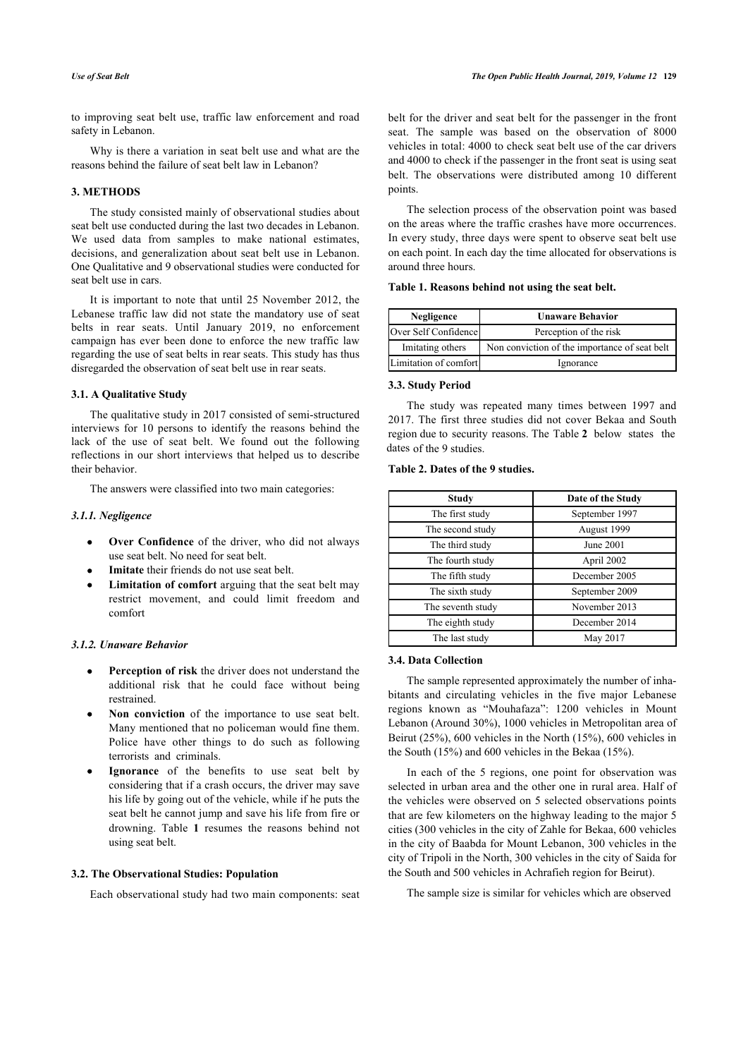to improving seat belt use, traffic law enforcement and road safety in Lebanon.

Why is there a variation in seat belt use and what are the reasons behind the failure of seat belt law in Lebanon?

# **3. METHODS**

<span id="page-2-0"></span>The study consisted mainly of observational studies about seat belt use conducted during the last two decades in Lebanon. We used data from samples to make national estimates, decisions, and generalization about seat belt use in Lebanon. One Qualitative and 9 observational studies were conducted for seat belt use in cars.

It is important to note that until 25 November 2012, the Lebanese traffic law did not state the mandatory use of seat belts in rear seats. Until January 2019, no enforcement campaign has ever been done to enforce the new traffic law regarding the use of seat belts in rear seats. This study has thus disregarded the observation of seat belt use in rear seats.

#### **3.1. A Qualitative Study**

The qualitative study in 2017 consisted of semi-structured interviews for 10 persons to identify the reasons behind the lack of the use of seat belt. We found out the following reflections in our short interviews that helped us to describe their behavior.

The answers were classified into two main categories:

# *3.1.1. Negligence*

- **Over Confidence** of the driver, who did not always use seat belt. No need for seat belt.
- **Imitate** their friends do not use seat belt.
- **Limitation of comfort** arguing that the seat belt may restrict movement, and could limit freedom and comfort

#### *3.1.2. Unaware Behavior*

- **Perception of risk** the driver does not understand the additional risk that he could face without being restrained.
- **Non conviction** of the importance to use seat belt. Many mentioned that no policeman would fine them. Police have other things to do such as following terrorists and criminals.
- **Ignorance** of the benefits to use seat belt by considering that if a crash occurs, the driver may save his life by going out of the vehicle, while if he puts the seat belt he cannot jump and save his life from fire or drowning. Table**1** resumes the reasons behind not using seat belt.

# <span id="page-2-1"></span>**3.2. The Observational Studies: Population**

Each observational study had two main components: seat

belt for the driver and seat belt for the passenger in the front seat. The sample was based on the observation of 8000 vehicles in total: 4000 to check seat belt use of the car drivers and 4000 to check if the passenger in the front seat is using seat belt. The observations were distributed among 10 different points.

The selection process of the observation point was based on the areas where the traffic crashes have more occurrences. In every study, three days were spent to observe seat belt use on each point. In each day the time allocated for observations is around three hours.

#### **Table 1. Reasons behind not using the seat belt.**

| Negligence            | <b>Unaware Behavior</b>                       |  |
|-----------------------|-----------------------------------------------|--|
| Over Self Confidence  | Perception of the risk                        |  |
| Imitating others      | Non conviction of the importance of seat belt |  |
| Limitation of comfort | Ignorance                                     |  |

# **3.3. Study Period**

The study was repeated many times between 1997 and 2017. The first three studies did not cover Bekaa and South region due to security reasons. The Table **2** below states the dates of the 9 studies.

### **Table 2. Dates of the 9 studies.**

| Study             | Date of the Study |  |
|-------------------|-------------------|--|
| The first study   | September 1997    |  |
| The second study  | August 1999       |  |
| The third study   | June 2001         |  |
| The fourth study  | April 2002        |  |
| The fifth study   | December 2005     |  |
| The sixth study   | September 2009    |  |
| The seventh study | November 2013     |  |
| The eighth study  | December 2014     |  |
| The last study    | May 2017          |  |

# **3.4. Data Collection**

The sample represented approximately the number of inhabitants and circulating vehicles in the five major Lebanese regions known as "Mouhafaza": 1200 vehicles in Mount Lebanon (Around 30%), 1000 vehicles in Metropolitan area of Beirut (25%), 600 vehicles in the North (15%), 600 vehicles in the South (15%) and 600 vehicles in the Bekaa (15%).

In each of the 5 regions, one point for observation was selected in urban area and the other one in rural area. Half of the vehicles were observed on 5 selected observations points that are few kilometers on the highway leading to the major 5 cities (300 vehicles in the city of Zahle for Bekaa, 600 vehicles in the city of Baabda for Mount Lebanon, 300 vehicles in the city of Tripoli in the North, 300 vehicles in the city of Saida for the South and 500 vehicles in Achrafieh region for Beirut).

The sample size is similar for vehicles which are observed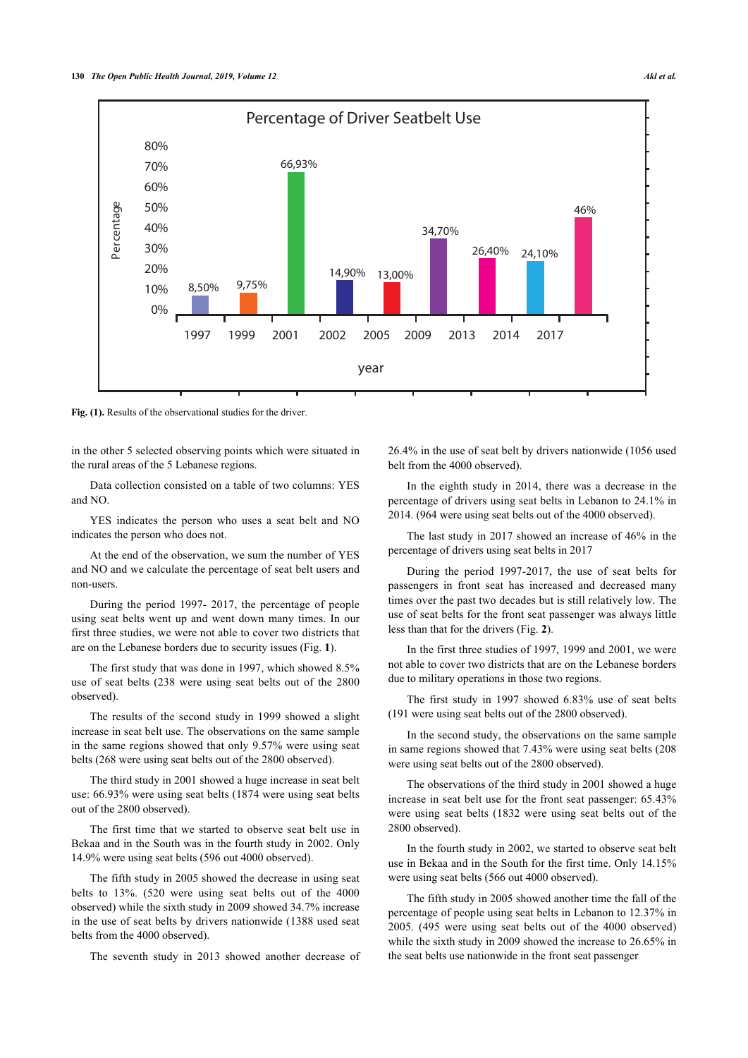



**Fig. (1).** Results of the observational studies for the driver.

in the other 5 selected observing points which were situated in the rural areas of the 5 Lebanese regions.

Data collection consisted on a table of two columns: YES and NO.

YES indicates the person who uses a seat belt and NO indicates the person who does not.

At the end of the observation, we sum the number of YES and NO and we calculate the percentage of seat belt users and non-users.

During the period 1997- 2017, the percentage of people using seat belts went up and went down many times. In our first three studies, we were not able to cover two districts that are on the Lebanese borders due to security issues (Fig. **[1](#page-2-1)**).

The first study that was done in 1997, which showed 8.5% use of seat belts (238 were using seat belts out of the 2800 observed).

The results of the second study in 1999 showed a slight increase in seat belt use. The observations on the same sample in the same regions showed that only 9.57% were using seat belts (268 were using seat belts out of the 2800 observed).

The third study in 2001 showed a huge increase in seat belt use: 66.93% were using seat belts (1874 were using seat belts out of the 2800 observed).

The first time that we started to observe seat belt use in Bekaa and in the South was in the fourth study in 2002. Only 14.9% were using seat belts (596 out 4000 observed).

The fifth study in 2005 showed the decrease in using seat belts to 13%. (520 were using seat belts out of the 4000 observed) while the sixth study in 2009 showed 34.7% increase in the use of seat belts by drivers nationwide (1388 used seat belts from the 4000 observed).

The seventh study in 2013 showed another decrease of

26.4% in the use of seat belt by drivers nationwide (1056 used belt from the 4000 observed).

In the eighth study in 2014, there was a decrease in the percentage of drivers using seat belts in Lebanon to 24.1% in 2014. (964 were using seat belts out of the 4000 observed).

The last study in 2017 showed an increase of 46% in the percentage of drivers using seat belts in 2017

During the period 1997-2017, the use of seat belts for passengers in front seat has increased and decreased many times over the past two decades but is still relatively low. The use of seat belts for the front seat passenger was always little less than that for the drivers (Fig. **[2](#page-4-0)**).

In the first three studies of 1997, 1999 and 2001, we were not able to cover two districts that are on the Lebanese borders due to military operations in those two regions.

The first study in 1997 showed 6.83% use of seat belts (191 were using seat belts out of the 2800 observed).

In the second study, the observations on the same sample in same regions showed that 7.43% were using seat belts (208 were using seat belts out of the 2800 observed).

The observations of the third study in 2001 showed a huge increase in seat belt use for the front seat passenger: 65.43% were using seat belts (1832 were using seat belts out of the 2800 observed).

In the fourth study in 2002, we started to observe seat belt use in Bekaa and in the South for the first time. Only 14.15% were using seat belts (566 out 4000 observed).

The fifth study in 2005 showed another time the fall of the percentage of people using seat belts in Lebanon to 12.37% in 2005. (495 were using seat belts out of the 4000 observed) while the sixth study in 2009 showed the increase to 26.65% in the seat belts use nationwide in the front seat passenger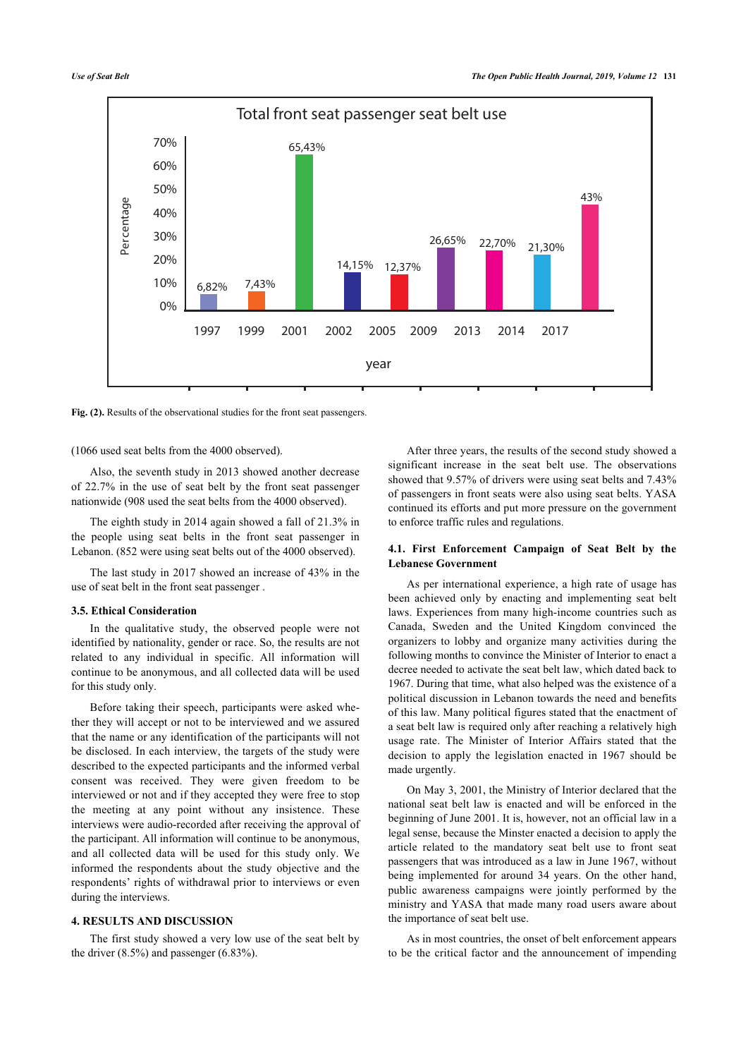<span id="page-4-0"></span>

**Fig. (2).** Results of the observational studies for the front seat passengers.

(1066 used seat belts from the 4000 observed).

Also, the seventh study in 2013 showed another decrease of 22.7% in the use of seat belt by the front seat passenger nationwide (908 used the seat belts from the 4000 observed).

The eighth study in 2014 again showed a fall of 21.3% in the people using seat belts in the front seat passenger in Lebanon. (852 were using seat belts out of the 4000 observed).

The last study in 2017 showed an increase of 43% in the use of seat belt in the front seat passenger .

### **3.5. Ethical Consideration**

In the qualitative study, the observed people were not identified by nationality, gender or race. So, the results are not related to any individual in specific. All information will continue to be anonymous, and all collected data will be used for this study only.

Before taking their speech, participants were asked whether they will accept or not to be interviewed and we assured that the name or any identification of the participants will not be disclosed. In each interview, the targets of the study were described to the expected participants and the informed verbal consent was received. They were given freedom to be interviewed or not and if they accepted they were free to stop the meeting at any point without any insistence. These interviews were audio-recorded after receiving the approval of the participant. All information will continue to be anonymous, and all collected data will be used for this study only. We informed the respondents about the study objective and the respondents' rights of withdrawal prior to interviews or even during the interviews.

# **4. RESULTS AND DISCUSSION**

The first study showed a very low use of the seat belt by the driver (8.5%) and passenger (6.83%).

After three years, the results of the second study showed a significant increase in the seat belt use. The observations showed that 9.57% of drivers were using seat belts and 7.43% of passengers in front seats were also using seat belts. YASA continued its efforts and put more pressure on the government to enforce traffic rules and regulations.

#### **4.1. First Enforcement Campaign of Seat Belt by the Lebanese Government**

As per international experience, a high rate of usage has been achieved only by enacting and implementing seat belt laws. Experiences from many high-income countries such as Canada, Sweden and the United Kingdom convinced the organizers to lobby and organize many activities during the following months to convince the Minister of Interior to enact a decree needed to activate the seat belt law, which dated back to 1967. During that time, what also helped was the existence of a political discussion in Lebanon towards the need and benefits of this law. Many political figures stated that the enactment of a seat belt law is required only after reaching a relatively high usage rate. The Minister of Interior Affairs stated that the decision to apply the legislation enacted in 1967 should be made urgently.

On May 3, 2001, the Ministry of Interior declared that the national seat belt law is enacted and will be enforced in the beginning of June 2001. It is, however, not an official law in a legal sense, because the Minster enacted a decision to apply the article related to the mandatory seat belt use to front seat passengers that was introduced as a law in June 1967, without being implemented for around 34 years. On the other hand, public awareness campaigns were jointly performed by the ministry and YASA that made many road users aware about the importance of seat belt use.

As in most countries, the onset of belt enforcement appears to be the critical factor and the announcement of impending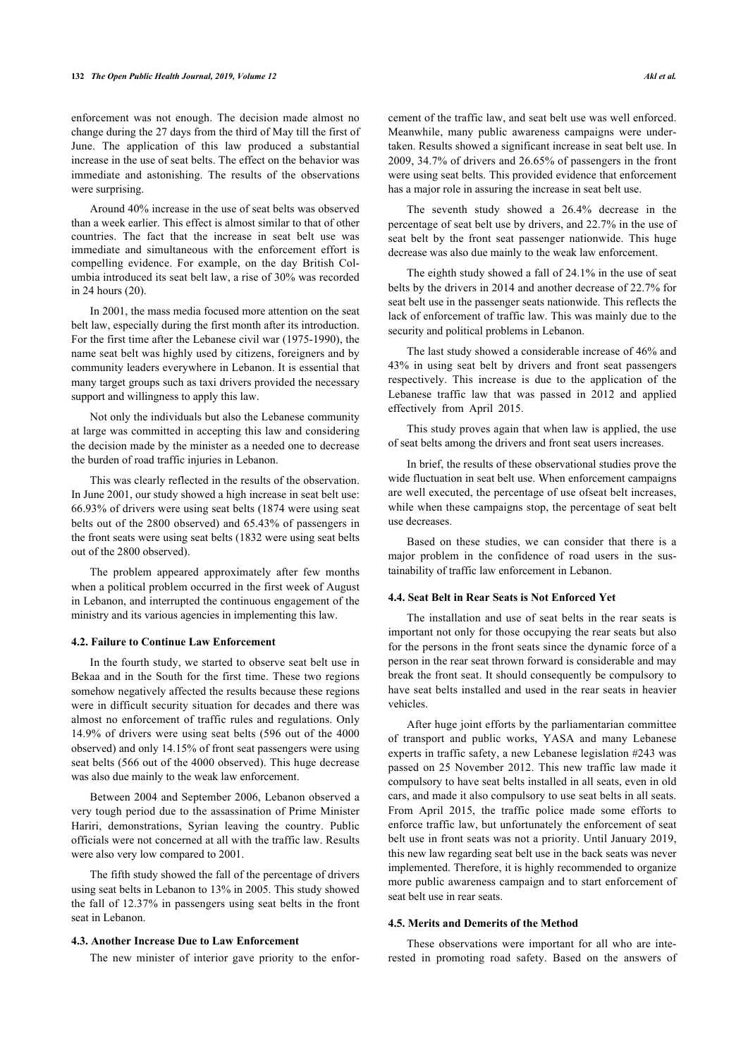enforcement was not enough. The decision made almost no change during the 27 days from the third of May till the first of June. The application of this law produced a substantial increase in the use of seat belts. The effect on the behavior was immediate and astonishing. The results of the observations were surprising.

Around 40% increase in the use of seat belts was observed than a week earlier. This effect is almost similar to that of other countries. The fact that the increase in seat belt use was immediate and simultaneous with the enforcement effort is compelling evidence. For example, on the day British Columbia introduced its seat belt law, a rise of 30% was recorded in 24 hours (20).

In 2001, the mass media focused more attention on the seat belt law, especially during the first month after its introduction. For the first time after the Lebanese civil war (1975-1990), the name seat belt was highly used by citizens, foreigners and by community leaders everywhere in Lebanon. It is essential that many target groups such as taxi drivers provided the necessary support and willingness to apply this law.

Not only the individuals but also the Lebanese community at large was committed in accepting this law and considering the decision made by the minister as a needed one to decrease the burden of road traffic injuries in Lebanon.

This was clearly reflected in the results of the observation. In June 2001, our study showed a high increase in seat belt use: 66.93% of drivers were using seat belts (1874 were using seat belts out of the 2800 observed) and 65.43% of passengers in the front seats were using seat belts (1832 were using seat belts out of the 2800 observed).

The problem appeared approximately after few months when a political problem occurred in the first week of August in Lebanon, and interrupted the continuous engagement of the ministry and its various agencies in implementing this law.

#### **4.2. Failure to Continue Law Enforcement**

In the fourth study, we started to observe seat belt use in Bekaa and in the South for the first time. These two regions somehow negatively affected the results because these regions were in difficult security situation for decades and there was almost no enforcement of traffic rules and regulations. Only 14.9% of drivers were using seat belts (596 out of the 4000 observed) and only 14.15% of front seat passengers were using seat belts (566 out of the 4000 observed). This huge decrease was also due mainly to the weak law enforcement.

Between 2004 and September 2006, Lebanon observed a very tough period due to the assassination of Prime Minister Hariri, demonstrations, Syrian leaving the country. Public officials were not concerned at all with the traffic law. Results were also very low compared to 2001.

The fifth study showed the fall of the percentage of drivers using seat belts in Lebanon to 13% in 2005. This study showed the fall of 12.37% in passengers using seat belts in the front seat in Lebanon.

#### **4.3. Another Increase Due to Law Enforcement**

The new minister of interior gave priority to the enfor-

cement of the traffic law, and seat belt use was well enforced. Meanwhile, many public awareness campaigns were undertaken. Results showed a significant increase in seat belt use. In 2009, 34.7% of drivers and 26.65% of passengers in the front were using seat belts. This provided evidence that enforcement has a major role in assuring the increase in seat belt use.

The seventh study showed a 26.4% decrease in the percentage of seat belt use by drivers, and 22.7% in the use of seat belt by the front seat passenger nationwide. This huge decrease was also due mainly to the weak law enforcement.

The eighth study showed a fall of 24.1% in the use of seat belts by the drivers in 2014 and another decrease of 22.7% for seat belt use in the passenger seats nationwide. This reflects the lack of enforcement of traffic law. This was mainly due to the security and political problems in Lebanon.

The last study showed a considerable increase of 46% and 43% in using seat belt by drivers and front seat passengers respectively. This increase is due to the application of the Lebanese traffic law that was passed in 2012 and applied effectively from April 2015.

This study proves again that when law is applied, the use of seat belts among the drivers and front seat users increases.

In brief, the results of these observational studies prove the wide fluctuation in seat belt use. When enforcement campaigns are well executed, the percentage of use ofseat belt increases, while when these campaigns stop, the percentage of seat belt use decreases.

Based on these studies, we can consider that there is a major problem in the confidence of road users in the sustainability of traffic law enforcement in Lebanon.

# **4.4. Seat Belt in Rear Seats is Not Enforced Yet**

The installation and use of seat belts in the rear seats is important not only for those occupying the rear seats but also for the persons in the front seats since the dynamic force of a person in the rear seat thrown forward is considerable and may break the front seat. It should consequently be compulsory to have seat belts installed and used in the rear seats in heavier vehicles.

After huge joint efforts by the parliamentarian committee of transport and public works, YASA and many Lebanese experts in traffic safety, a new Lebanese legislation #243 was passed on 25 November 2012. This new traffic law made it compulsory to have seat belts installed in all seats, even in old cars, and made it also compulsory to use seat belts in all seats. From April 2015, the traffic police made some efforts to enforce traffic law, but unfortunately the enforcement of seat belt use in front seats was not a priority. Until January 2019, this new law regarding seat belt use in the back seats was never implemented. Therefore, it is highly recommended to organize more public awareness campaign and to start enforcement of seat belt use in rear seats.

#### **4.5. Merits and Demerits of the Method**

These observations were important for all who are interested in promoting road safety. Based on the answers of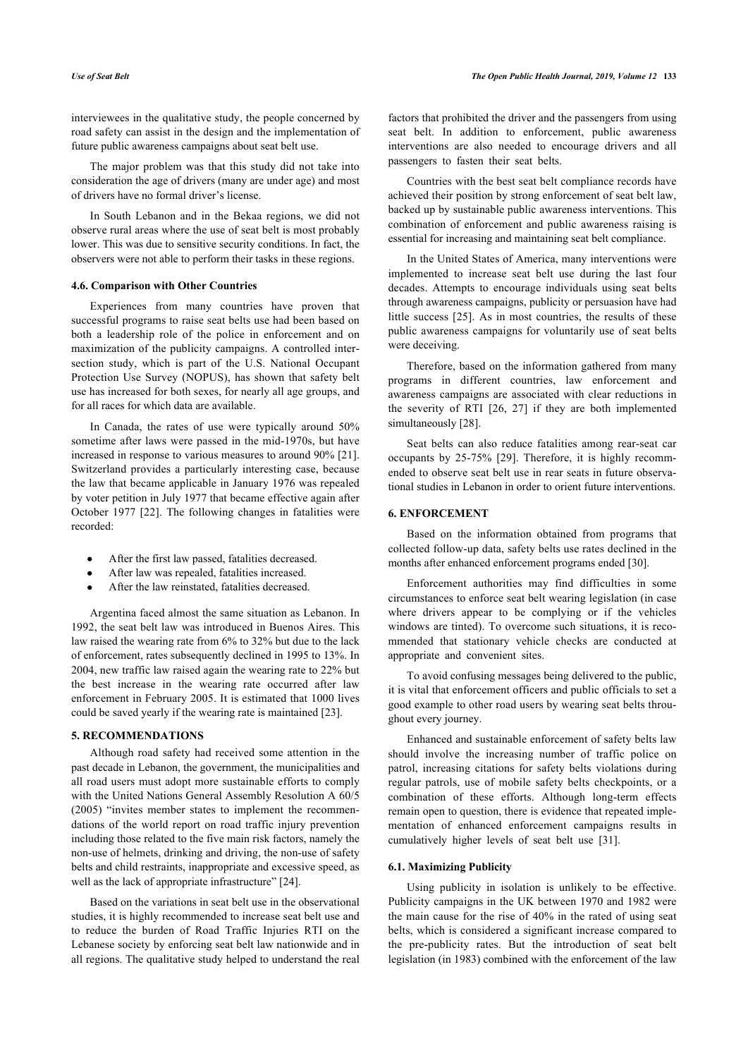interviewees in the qualitative study, the people concerned by road safety can assist in the design and the implementation of future public awareness campaigns about seat belt use.

The major problem was that this study did not take into consideration the age of drivers (many are under age) and most of drivers have no formal driver's license.

In South Lebanon and in the Bekaa regions, we did not observe rural areas where the use of seat belt is most probably lower. This was due to sensitive security conditions. In fact, the observers were not able to perform their tasks in these regions.

#### **4.6. Comparison with Other Countries**

Experiences from many countries have proven that successful programs to raise seat belts use had been based on both a leadership role of the police in enforcement and on maximization of the publicity campaigns. A controlled intersection study, which is part of the U.S. National Occupant Protection Use Survey (NOPUS), has shown that safety belt use has increased for both sexes, for nearly all age groups, and for all races for which data are available.

In Canada, the rates of use were typically around 50% sometime after laws were passed in the mid-1970s, but have increased in response to various measures to around 90% [21]. Switzerland provides a particularly interesting case, because the law that became applicable in January 1976 was repealed by voter petition in July 1977 that became effective again after October 1977 [22]. The following changes in fatalities were recorded:

- After the first law passed, fatalities decreased.
- After law was repealed, fatalities increased.
- After the law reinstated, fatalities decreased.

Argentina faced almost the same situation as Lebanon. In 1992, the seat belt law was introduced in Buenos Aires. This law raised the wearing rate from 6% to 32% but due to the lack of enforcement, rates subsequently declined in 1995 to 13%. In 2004, new traffic law raised again the wearing rate to 22% but the best increase in the wearing rate occurred after law enforcement in February 2005. It is estimated that 1000 lives could be saved yearly if the wearing rate is maintained [[23\]](#page-8-18).

#### **5. RECOMMENDATIONS**

Although road safety had received some attention in the past decade in Lebanon, the government, the municipalities and all road users must adopt more sustainable efforts to comply with the United Nations General Assembly Resolution A 60/5 (2005) "invites member states to implement the recommendations of the world report on road traffic injury prevention including those related to the five main risk factors, namely the non-use of helmets, drinking and driving, the non-use of safety belts and child restraints, inappropriate and excessive speed, as well as the lack of appropriate infrastructure" [\[24](#page-8-19)].

Based on the variations in seat belt use in the observational studies, it is highly recommended to increase seat belt use and to reduce the burden of Road Traffic Injuries RTI on the Lebanese society by enforcing seat belt law nationwide and in all regions. The qualitative study helped to understand the real

factors that prohibited the driver and the passengers from using seat belt. In addition to enforcement, public awareness interventions are also needed to encourage drivers and all passengers to fasten their seat belts.

Countries with the best seat belt compliance records have achieved their position by strong enforcement of seat belt law, backed up by sustainable public awareness interventions. This combination of enforcement and public awareness raising is essential for increasing and maintaining seat belt compliance.

In the United States of America, many interventions were implemented to increase seat belt use during the last four decades. Attempts to encourage individuals using seat belts through awareness campaigns, publicity or persuasion have had little success [[25\]](#page-8-20). As in most countries, the results of these public awareness campaigns for voluntarily use of seat belts were deceiving.

Therefore, based on the information gathered from many programs in different countries, law enforcement and awareness campaigns are associated with clear reductions in the severity of RTI[[26](#page-8-21), [27](#page-8-1)] if they are both implemented simultaneously [[28\]](#page-8-22).

Seat belts can also reduce fatalities among rear-seat car occupants by 25-75% [\[29\]](#page-8-23). Therefore, it is highly recommended to observe seat belt use in rear seats in future observational studies in Lebanon in order to orient future interventions.

#### **6. ENFORCEMENT**

Based on the information obtained from programs that collected follow-up data, safety belts use rates declined in the months after enhanced enforcement programs ended [[30\]](#page-8-24).

Enforcement authorities may find difficulties in some circumstances to enforce seat belt wearing legislation (in case where drivers appear to be complying or if the vehicles windows are tinted). To overcome such situations, it is recommended that stationary vehicle checks are conducted at appropriate and convenient sites.

To avoid confusing messages being delivered to the public, it is vital that enforcement officers and public officials to set a good example to other road users by wearing seat belts throughout every journey.

Enhanced and sustainable enforcement of safety belts law should involve the increasing number of traffic police on patrol, increasing citations for safety belts violations during regular patrols, use of mobile safety belts checkpoints, or a combination of these efforts. Although long-term effects remain open to question, there is evidence that repeated implementation of enhanced enforcement campaigns results in cumulatively higher levels of seat belt use[[31\]](#page-8-25).

#### **6.1. Maximizing Publicity**

Using publicity in isolation is unlikely to be effective. Publicity campaigns in the UK between 1970 and 1982 were the main cause for the rise of 40% in the rated of using seat belts, which is considered a significant increase compared to the pre-publicity rates. But the introduction of seat belt legislation (in 1983) combined with the enforcement of the law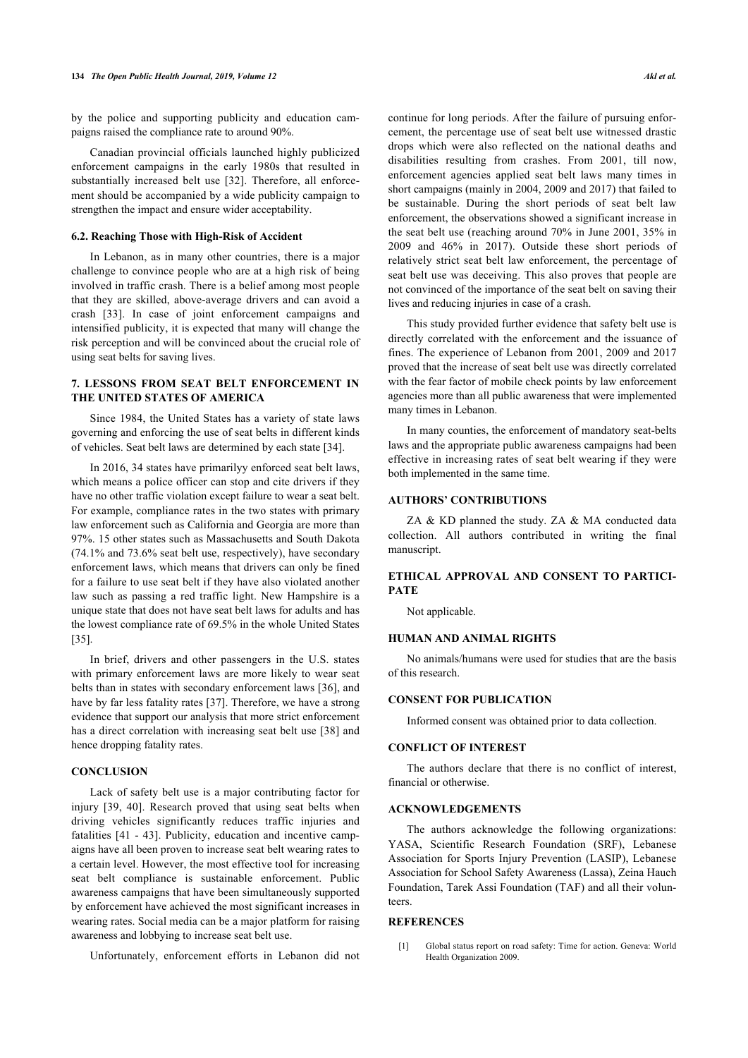by the police and supporting publicity and education campaigns raised the compliance rate to around 90%.

Canadian provincial officials launched highly publicized enforcement campaigns in the early 1980s that resulted in substantially increased belt use [\[32](#page-8-26)]. Therefore, all enforcement should be accompanied by a wide publicity campaign to strengthen the impact and ensure wider acceptability.

#### **6.2. Reaching Those with High-Risk of Accident**

In Lebanon, as in many other countries, there is a major challenge to convince people who are at a high risk of being involved in traffic crash. There is a belief among most people that they are skilled, above-average drivers and can avoid a crash[[33](#page-8-27)]. In case of joint enforcement campaigns and intensified publicity, it is expected that many will change the risk perception and will be convinced about the crucial role of using seat belts for saving lives.

# **7. LESSONS FROM SEAT BELT ENFORCEMENT IN THE UNITED STATES OF AMERICA**

Since 1984, the United States has a variety of state laws governing and enforcing the use of seat belts in different kinds of vehicles. Seat belt laws are determined by each state [\[34](#page-8-11)].

In 2016, 34 states have primarilyy enforced seat belt laws, which means a police officer can stop and cite drivers if they have no other traffic violation except failure to wear a seat belt. For example, compliance rates in the two states with primary law enforcement such as California and Georgia are more than 97%. 15 other states such as Massachusetts and South Dakota (74.1% and 73.6% seat belt use, respectively), have secondary enforcement laws, which means that drivers can only be fined for a failure to use seat belt if they have also violated another law such as passing a red traffic light. New Hampshire is a unique state that does not have seat belt laws for adults and has the lowest compliance rate of 69.5% in the whole United States [[35\]](#page-8-12).

In brief, drivers and other passengers in the U.S. states with primary enforcement laws are more likely to wear seat belts than in states with secondary enforcement laws [\[36](#page-8-28)], and have by far less fatality rates [\[37](#page-8-15)]. Therefore, we have a strong evidence that support our analysis that more strict enforcement has a direct correlation with increasing seat belt use [[38](#page-8-17)] and hence dropping fatality rates.

# **CONCLUSION**

Lack of safety belt use is a major contributing factor for injury[[39,](#page-8-29) [40](#page-8-30)]. Research proved that using seat belts when driving vehicles significantly reduces traffic injuries and fatalities [[41](#page-8-18) - [43\]](#page-8-31). Publicity, education and incentive campaigns have all been proven to increase seat belt wearing rates to a certain level. However, the most effective tool for increasing seat belt compliance is sustainable enforcement. Public awareness campaigns that have been simultaneously supported by enforcement have achieved the most significant increases in wearing rates. Social media can be a major platform for raising awareness and lobbying to increase seat belt use.

<span id="page-7-0"></span>Unfortunately, enforcement efforts in Lebanon did not

continue for long periods. After the failure of pursuing enforcement, the percentage use of seat belt use witnessed drastic drops which were also reflected on the national deaths and disabilities resulting from crashes. From 2001, till now, enforcement agencies applied seat belt laws many times in short campaigns (mainly in 2004, 2009 and 2017) that failed to be sustainable. During the short periods of seat belt law enforcement, the observations showed a significant increase in the seat belt use (reaching around 70% in June 2001, 35% in 2009 and 46% in 2017). Outside these short periods of relatively strict seat belt law enforcement, the percentage of seat belt use was deceiving. This also proves that people are not convinced of the importance of the seat belt on saving their lives and reducing injuries in case of a crash.

This study provided further evidence that safety belt use is directly correlated with the enforcement and the issuance of fines. The experience of Lebanon from 2001, 2009 and 2017 proved that the increase of seat belt use was directly correlated with the fear factor of mobile check points by law enforcement agencies more than all public awareness that were implemented many times in Lebanon.

In many counties, the enforcement of mandatory seat-belts laws and the appropriate public awareness campaigns had been effective in increasing rates of seat belt wearing if they were both implemented in the same time.

#### **AUTHORS' CONTRIBUTIONS**

ZA & KD planned the study. ZA & MA conducted data collection. All authors contributed in writing the final manuscript.

# **ETHICAL APPROVAL AND CONSENT TO PARTICI-PATE**

Not applicable.

# **HUMAN AND ANIMAL RIGHTS**

No animals/humans were used for studies that are the basis of this research.

#### **CONSENT FOR PUBLICATION**

Informed consent was obtained prior to data collection.

#### **CONFLICT OF INTEREST**

The authors declare that there is no conflict of interest, financial or otherwise.

#### **ACKNOWLEDGEMENTS**

The authors acknowledge the following organizations: YASA, Scientific Research Foundation (SRF), Lebanese Association for Sports Injury Prevention (LASIP), Lebanese Association for School Safety Awareness (Lassa), Zeina Hauch Foundation, Tarek Assi Foundation (TAF) and all their volunteers.

# **REFERENCES**

[1] Global status report on road safety: Time for action. Geneva: World Health Organization 2009.